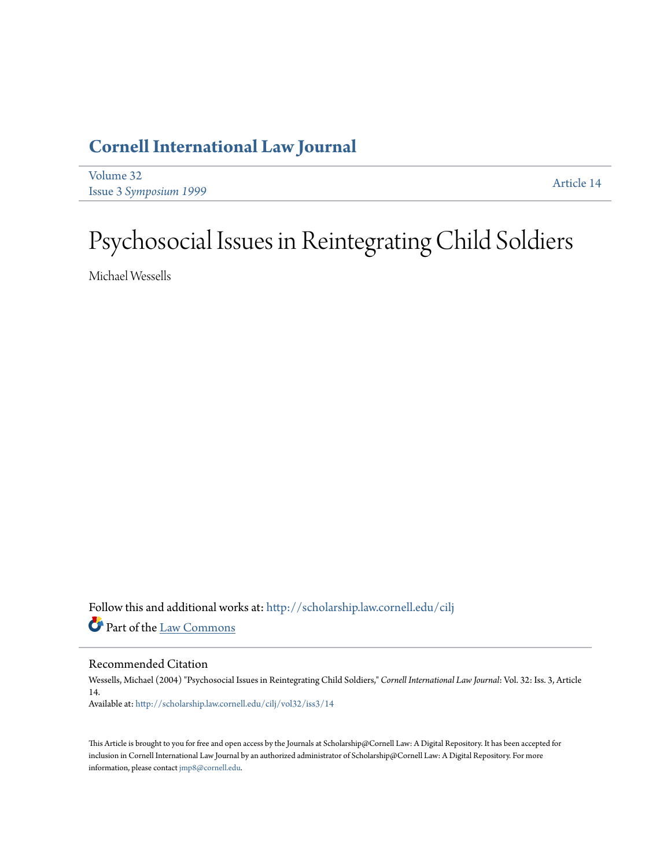## **[Cornell International Law Journal](http://scholarship.law.cornell.edu/cilj?utm_source=scholarship.law.cornell.edu%2Fcilj%2Fvol32%2Fiss3%2F14&utm_medium=PDF&utm_campaign=PDFCoverPages)**

[Volume 32](http://scholarship.law.cornell.edu/cilj/vol32?utm_source=scholarship.law.cornell.edu%2Fcilj%2Fvol32%2Fiss3%2F14&utm_medium=PDF&utm_campaign=PDFCoverPages) Issue 3 *[Symposium 1999](http://scholarship.law.cornell.edu/cilj/vol32/iss3?utm_source=scholarship.law.cornell.edu%2Fcilj%2Fvol32%2Fiss3%2F14&utm_medium=PDF&utm_campaign=PDFCoverPages)* [Article 14](http://scholarship.law.cornell.edu/cilj/vol32/iss3/14?utm_source=scholarship.law.cornell.edu%2Fcilj%2Fvol32%2Fiss3%2F14&utm_medium=PDF&utm_campaign=PDFCoverPages)

# Psychosocial Issues in Reintegrating Child Soldiers

Michael Wessells

Follow this and additional works at: [http://scholarship.law.cornell.edu/cilj](http://scholarship.law.cornell.edu/cilj?utm_source=scholarship.law.cornell.edu%2Fcilj%2Fvol32%2Fiss3%2F14&utm_medium=PDF&utm_campaign=PDFCoverPages) Part of the [Law Commons](http://network.bepress.com/hgg/discipline/578?utm_source=scholarship.law.cornell.edu%2Fcilj%2Fvol32%2Fiss3%2F14&utm_medium=PDF&utm_campaign=PDFCoverPages)

### Recommended Citation

Wessells, Michael (2004) "Psychosocial Issues in Reintegrating Child Soldiers," *Cornell International Law Journal*: Vol. 32: Iss. 3, Article 14. Available at: [http://scholarship.law.cornell.edu/cilj/vol32/iss3/14](http://scholarship.law.cornell.edu/cilj/vol32/iss3/14?utm_source=scholarship.law.cornell.edu%2Fcilj%2Fvol32%2Fiss3%2F14&utm_medium=PDF&utm_campaign=PDFCoverPages)

This Article is brought to you for free and open access by the Journals at Scholarship@Cornell Law: A Digital Repository. It has been accepted for inclusion in Cornell International Law Journal by an authorized administrator of Scholarship@Cornell Law: A Digital Repository. For more information, please contact [jmp8@cornell.edu.](mailto:jmp8@cornell.edu)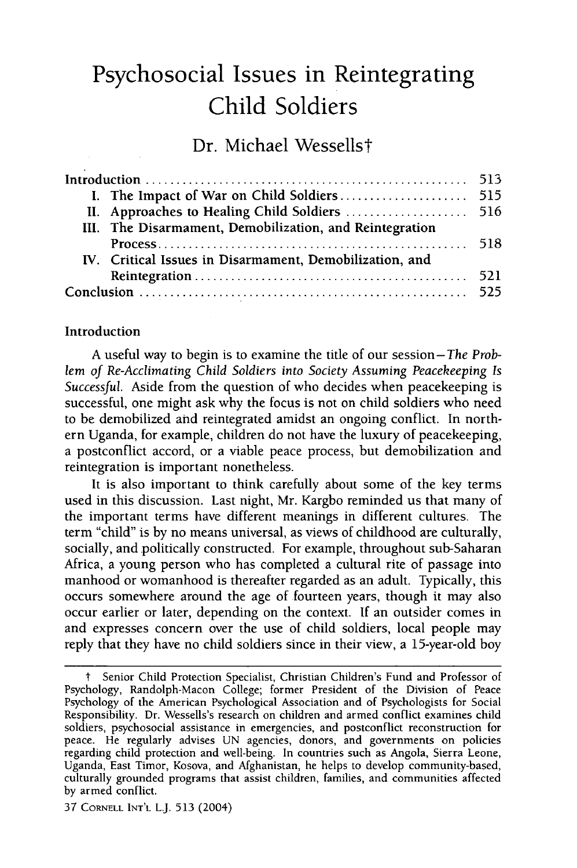# **Psychosocial Issues in Reintegrating Child Soldiers**

**Dr.** Michael Wessellst

|  | II. Approaches to Healing Child Soldiers  516           |  |
|--|---------------------------------------------------------|--|
|  | III. The Disarmament, Demobilization, and Reintegration |  |
|  |                                                         |  |
|  | IV. Critical Issues in Disarmament, Demobilization, and |  |
|  |                                                         |  |
|  |                                                         |  |

#### Introduction

A useful way to begin is to examine the title of our session-The *Prob*lem *of Re-Acclimating Child Soldiers into Society Assuming Peacekeeping Is Successful.* Aside from the question of who decides when peacekeeping is successful, one might ask why the focus is not on child soldiers who need to be demobilized and reintegrated amidst an ongoing conflict. In northern Uganda, for example, children do not have the luxury of peacekeeping, a postconflict accord, or a viable peace process, but demobilization and reintegration is important nonetheless.

It is also important to think carefully about some of the key terms used in this discussion. Last night, Mr. Kargbo reminded us that many of the important terms have different meanings in different cultures. The term "child" is by no means universal, as views of childhood are culturally, socially, and politically constructed. For example, throughout sub-Saharan Africa, a young person who has completed a cultural rite of passage into manhood or womanhood is thereafter regarded as an adult. Typically, this occurs somewhere around the age of fourteen years, though it may also occur earlier or later, depending on the context. If an outsider comes in and expresses concern over the use of child soldiers, local people may reply that they have no child soldiers since in their view, a 15-year-old boy

Senior Child Protection Specialist, Christian Children's Fund and Professor of Psychology, Randolph-Macon College; former President of the Division of Peace Psychology of the American Psychological Association and of Psychologists for Social Responsibility. Dr. Wessells's research on children and armed conflict examines child soldiers, psychosocial assistance in emergencies, and postconflict reconstruction for peace. He regularly advises UN agencies, donors, and governments on policies regarding child protection and well-being. In countries such as Angola, Sierra Leone, Uganda, East Timor, Kosova, and Afghanistan, he helps to develop community-based, culturally grounded programs that assist children, families, and communities affected by armed conflict.

<sup>37</sup> CORNELL INT'L **LJ.** 513 (2004)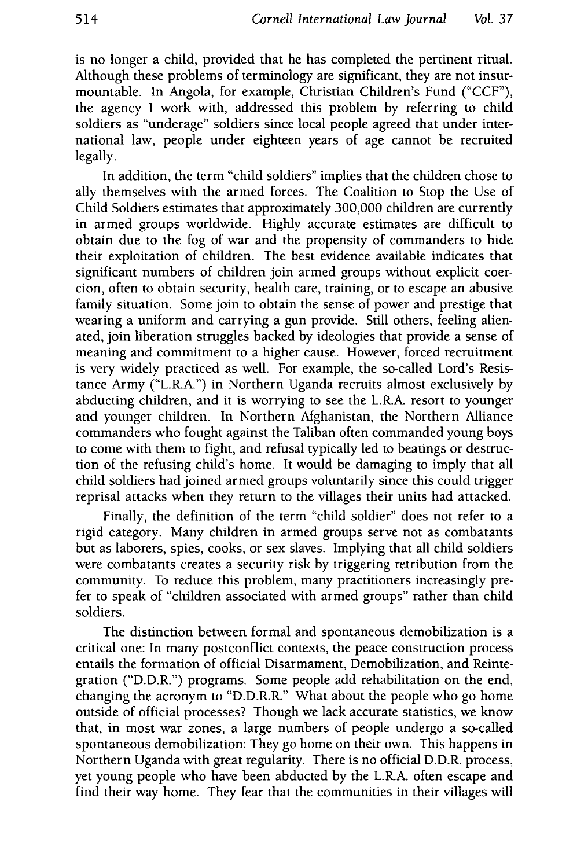is no longer a child, provided that he has completed the pertinent ritual. Although these problems of terminology are significant, they are not insurmountable. In Angola, for example, Christian Children's Fund ("CCF"), the agency I work with, addressed this problem by referring to child soldiers as "underage" soldiers since local people agreed that under international law, people under eighteen years of age cannot be recruited legally.

In addition, the term "child soldiers" implies that the children chose to ally themselves with the armed forces. The Coalition to Stop the Use of Child Soldiers estimates that approximately 300,000 children are currently in armed groups worldwide. Highly accurate estimates are difficult to obtain due to the fog of war and the propensity of commanders to hide their exploitation of children. The best evidence available indicates that significant numbers of children join armed groups without explicit coercion, often to obtain security, health care, training, or to escape an abusive family situation. Some join to obtain the sense of power and prestige that wearing a uniform and carrying a gun provide. Still others, feeling alienated, join liberation struggles backed by ideologies that provide a sense of meaning and commitment to a higher cause. However, forced recruitment is very widely practiced as well. For example, the so-called Lord's Resistance Army ("L.R.A.") in Northern Uganda recruits almost exclusively by abducting children, and it is worrying to see the L.R.A. resort to younger and younger children. In Northern Afghanistan, the Northern Alliance commanders who fought against the Taliban often commanded young boys to come with them to fight, and refusal typically led to beatings or destruction of the refusing child's home. It would be damaging to imply that all child soldiers had joined armed groups voluntarily since this could trigger reprisal attacks when they return to the villages their units had attacked.

Finally, the definition of the term "child soldier" does not refer to a rigid category. Many children in armed groups serve not as combatants but as laborers, spies, cooks, or sex slaves. Implying that all child soldiers were combatants creates a security risk by triggering retribution from the community. To reduce this problem, many practitioners increasingly prefer to speak of "children associated with armed groups" rather than child soldiers.

The distinction between formal and spontaneous demobilization is a critical one: In many postconflict contexts, the peace construction process entails the formation of official Disarmament, Demobilization, and Reintegration ("D.D.R.") programs. Some people add rehabilitation on the end, changing the acronym to "D.D.R.R." What about the people who go home outside of official processes? Though we lack accurate statistics, we know that, in most war zones, a large numbers of people undergo a so-called spontaneous demobilization: They go home on their own. This happens in Northern Uganda with great regularity. There is no official D.D.R. process, yet young people who have been abducted by the L.R.A. often escape and find their way home. They fear that the communities in their villages will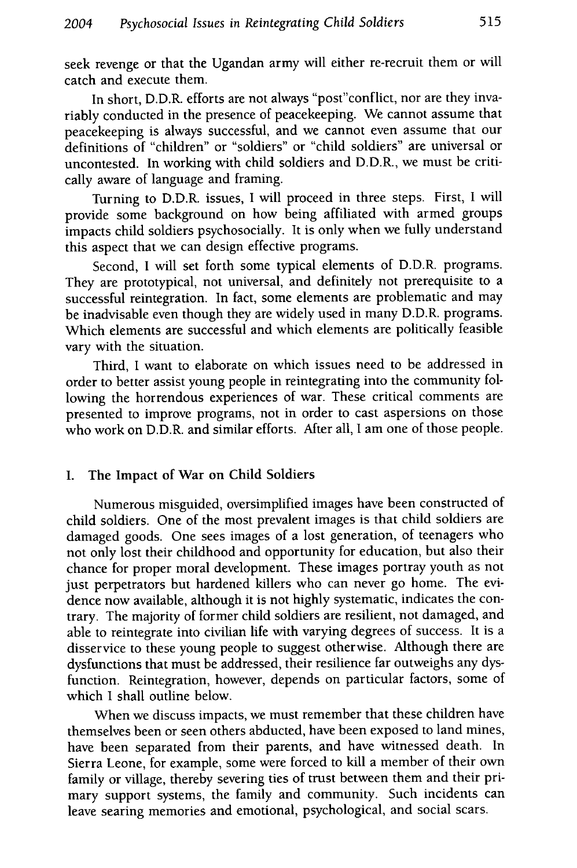seek revenge or that the Ugandan army will either re-recruit them or will catch and execute them.

In short, D.D.R. efforts are not always "post"conflict, nor are they invariably conducted in the presence of peacekeeping. We cannot assume that peacekeeping is always successful, and we cannot even assume that our definitions of "children" or "soldiers" or "child soldiers" are universal or uncontested. In working with child soldiers and D.D.R., we must be critically aware of language and framing.

Turning to D.D.R. issues, I will proceed in three steps. First, I will provide some background on how being affiliated with armed groups impacts child soldiers psychosocially. It is only when we fully understand this aspect that we can design effective programs.

Second, I will set forth some typical elements of D.D.R. programs. They are prototypical, not universal, and definitely not prerequisite to a successful reintegration. In fact, some elements are problematic and may be inadvisable even though they are widely used in many D.D.R. programs. Which elements are successful and which elements are politically feasible vary with the situation.

Third, I want to elaborate on which issues need to be addressed in order to better assist young people in reintegrating into the community following the horrendous experiences of war. These critical comments are presented to improve programs, not in order to cast aspersions on those who work on D.D.R. and similar efforts. After all, I am one of those people.

#### **I.** The Impact of War on Child Soldiers

Numerous misguided, oversimplified images have been constructed of child soldiers. One of the most prevalent images is that child soldiers are damaged goods. One sees images of a lost generation, of teenagers who not only lost their childhood and opportunity for education, but also their chance for proper moral development. These images portray youth as not just perpetrators but hardened killers who can never go home. The evidence now available, although it is not highly systematic, indicates the contrary. The majority of former child soldiers are resilient, not damaged, and able to reintegrate into civilian life with varying degrees of success. It is a disservice to these young people to suggest otherwise. Although there are dysfunctions that must be addressed, their resilience far outweighs any dysfunction. Reintegration, however, depends on particular factors, some of which I shall outline below.

When we discuss impacts, we must remember that these children have themselves been or seen others abducted, have been exposed to land mines, have been separated from their parents, and have witnessed death. In Sierra Leone, for example, some were forced to kill a member of their own family or village, thereby severing ties of trust between them and their primary support systems, the family and community. Such incidents can leave searing memories and emotional, psychological, and social scars.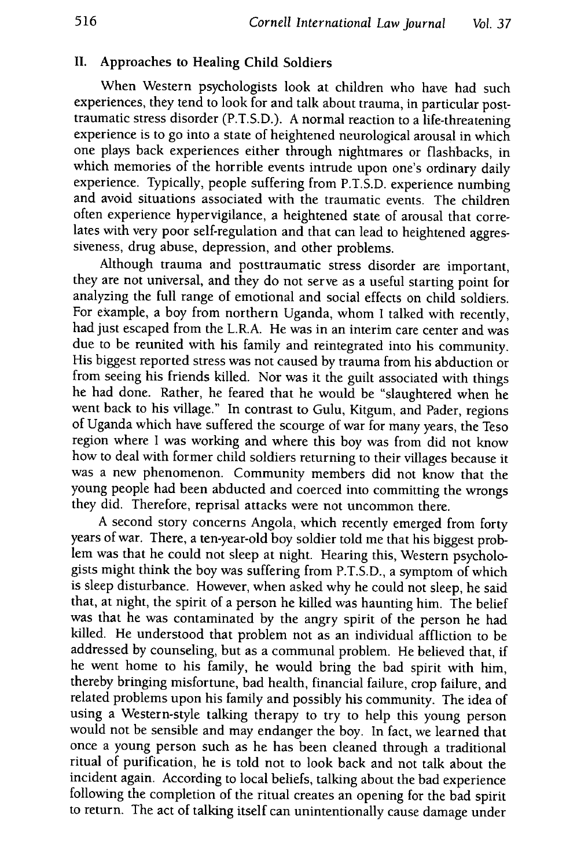#### **II.** Approaches to Healing Child Soldiers

When Western psychologists look at children who have had such experiences, they tend to look for and talk about trauma, in particular posttraumatic stress disorder (P.T.S.D.). A normal reaction to a life-threatening experience is to go into a state of heightened neurological arousal in which one plays back experiences either through nightmares or flashbacks, in which memories of the horrible events intrude upon one's ordinary daily experience. Typically, people suffering from P.T.S.D. experience numbing and avoid situations associated with the traumatic events. The children often experience hypervigilance, a heightened state of arousal that correlates with very poor self-regulation and that can lead to heightened aggressiveness, drug abuse, depression, and other problems.

Although trauma and posttraumatic stress disorder are important, they are not universal, and they do not serve as a useful starting point for analyzing the full range of emotional and social effects on child soldiers. For example, a boy from northern Uganda, whom I talked with recently, had just escaped from the L.R.A. He was in an interim care center and was due to be reunited with his family and reintegrated into his community. His biggest reported stress was not caused by trauma from his abduction or from seeing his friends killed. Nor was it the guilt associated with things he had done. Rather, he feared that he would be "slaughtered when he went back to his village." In contrast to Gulu, Kitgum, and Pader, regions of Uganda which have suffered the scourge of war for many years, the Teso region where I was working and where this boy was from did not know how to deal with former child soldiers returning to their villages because it was a new phenomenon. Community members did not know that the young people had been abducted and coerced into committing the wrongs they did. Therefore, reprisal attacks were not uncommon there.

A second story concerns Angola, which recently emerged from forty years of war. There, a ten-year-old boy soldier told me that his biggest problem was that he could not sleep at night. Hearing this, Western psychologists might think the boy was suffering from P.T.S.D., a symptom of which is sleep disturbance. However, when asked why he could not sleep, he said that, at night, the spirit of a person he killed was haunting him. The belief was that he was contaminated by the angry spirit of the person he had killed. He understood that problem not as an individual affliction to be addressed by counseling, but as a communal problem. He believed that, if he went home to his family, he would bring the bad spirit with him, thereby bringing misfortune, bad health, financial failure, crop failure, and related problems upon his family and possibly his community. The idea of using a Western-style talking therapy to try to help this young person would not be sensible and may endanger the boy. In fact, we learned that once a young person such as he has been cleaned through a traditional ritual of purification, he is told not to look back and not talk about the incident again. According to local beliefs, talking about the bad experience following the completion of the ritual creates an opening for the bad spirit to return. The act of talking itself can unintentionally cause damage under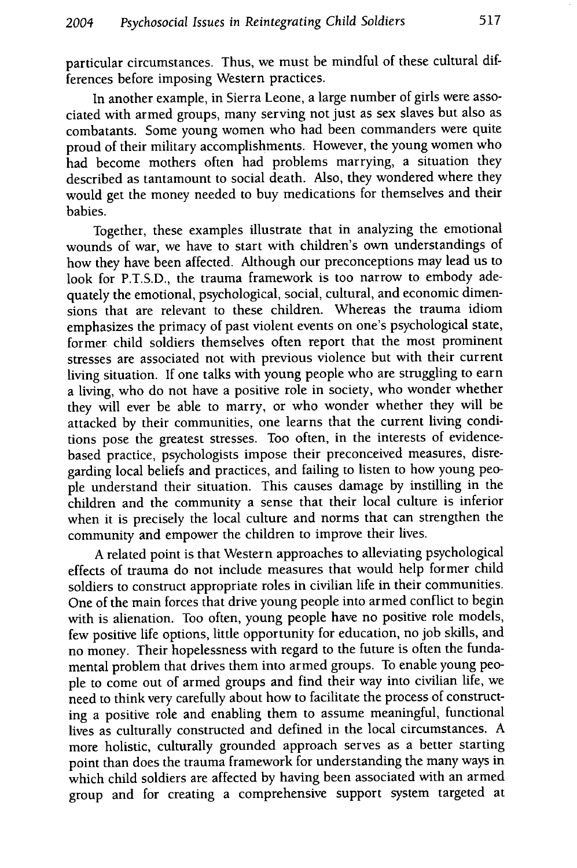particular circumstances. Thus, we must be mindful of these cultural differences before imposing Western practices.

In another example, in Sierra Leone, a large number of girls were associated with armed groups, many serving not just as sex slaves but also as combatants. Some young women who had been commanders were quite proud of their military accomplishments. However, the young women who had become mothers often had problems marrying, a situation they described as tantamount to social death. Also, they wondered where they would get the money needed to buy medications for themselves and their babies.

Together, these examples illustrate that in analyzing the emotional wounds of war, we have to start with children's own understandings of how they have been affected. Although our preconceptions may lead us to look for P.T.S.D., the trauma framework is too narrow to embody adequately the emotional, psychological, social, cultural, and economic dimensions that are relevant to these children. Whereas the trauma idiom emphasizes the primacy of past violent events on one's psychological state, former child soldiers themselves often report that the most prominent stresses are associated not with previous violence but with their current living situation. If one talks with young people who are struggling to earn a living, who do not have a positive role in society, who wonder whether they will ever be able to marry, or who wonder whether they will be attacked by their communities, one learns that the current living conditions pose the greatest stresses. Too often, in the interests of evidencebased practice, psychologists impose their preconceived measures, disregarding local beliefs and practices, and failing to listen to how young people understand their situation. This causes damage by instilling in the children and the community a sense that their local culture is inferior when it is precisely the local culture and norms that can strengthen the community and empower the children to improve their lives.

A related point is that Western approaches to alleviating psychological effects of trauma do not include measures that would help former child soldiers to construct appropriate roles in civilian life in their communities. One of the main forces that drive young people into armed conflict to begin with is alienation. Too often, young people have no positive role models, few positive life options, little opportunity for education, no job skills, and no money. Their hopelessness with regard to the future is often the fundamental problem that drives them into armed groups. To enable young people to come out of armed groups and find their way into civilian life, we need to think very carefully about how to facilitate the process of constructing a positive role and enabling them to assume meaningful, functional lives as culturally constructed and defined in the local circumstances. A more holistic, culturally grounded approach serves as a better starting point than does the trauma framework for understanding the many ways in which child soldiers are affected by having been associated with an armed group and for creating a comprehensive support system targeted at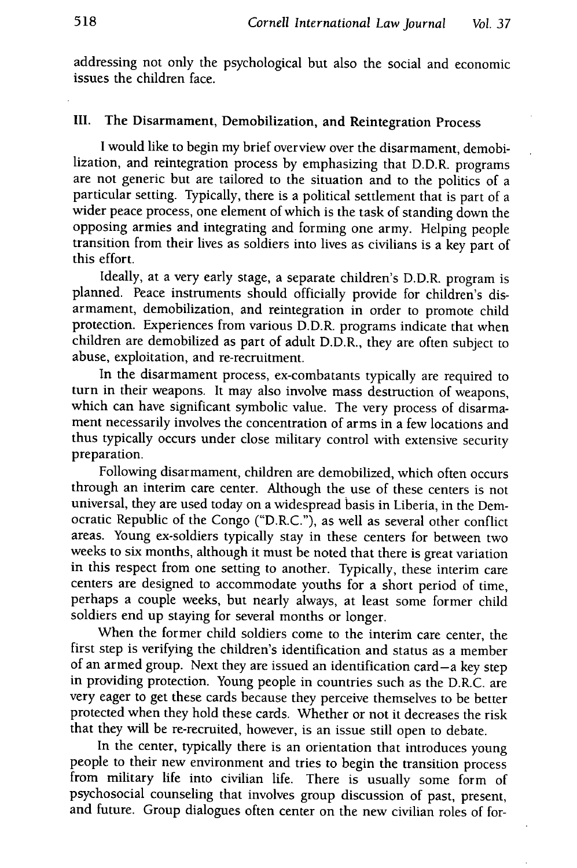addressing not only the psychological but also the social and economic issues the children face.

## **III.** The Disarmament, Demobilization, and Reintegration Process

I would like to begin my brief overview over the disarmament, demobilization, and reintegration process by emphasizing that D.D.R. programs are not generic but are tailored to the situation and to the politics of a particular setting. Typically, there is a political settlement that is part of a wider peace process, one element of which is the task of standing down the opposing armies and integrating and forming one army. Helping people transition from their lives as soldiers into lives as civilians is a key part of this effort.

Ideally, at a very early stage, a separate children's D.D.R. program is planned. Peace instruments should officially provide for children's disarmament, demobilization, and reintegration in order to promote child protection. Experiences from various D.D.R. programs indicate that when children are demobilized as part of adult D.D.R., they are often subject to abuse, exploitation, and re-recruitment.

In the disarmament process, ex-combatants typically are required to turn in their weapons. It may also involve mass destruction of weapons, which can have significant symbolic value. The very process of disarmament necessarily involves the concentration of arms in a few locations and thus typically occurs under close military control with extensive security preparation.

Following disarmament, children are demobilized, which often occurs through an interim care center. Although the use of these centers is not universal, they are used today on a widespread basis in Liberia, in the Democratic Republic of the Congo ("D.R.C."), as well as several other conflict areas. Young ex-soldiers typically stay in these centers for between two weeks to six months, although it must be noted that there is great variation in this respect from one setting to another. Typically, these interim care centers are designed to accommodate youths for a short period of time, perhaps a couple weeks, but nearly always, at least some former child soldiers end up staying for several months or longer.

When the former child soldiers come to the interim care center, the first step is verifying the children's identification and status as a member of an armed group. Next they are issued an identification card-a key step in providing protection. Young people in countries such as the D.R.C. are very eager to get these cards because they perceive themselves to be better protected when they hold these cards. Whether or not it decreases the risk that they will be re-recruited, however, is an issue still open to debate.

In the center, typically there is an orientation that introduces young people to their new environment and tries to begin the transition process from military life into civilian life. There is usually some form of psychosocial counseling that involves group discussion of past, present, and future. Group dialogues often center on the new civilian roles of for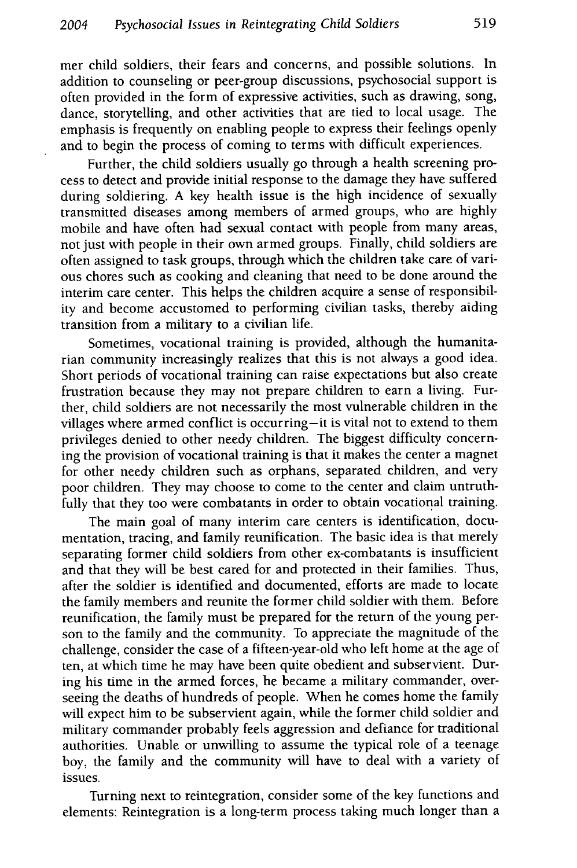mer child soldiers, their fears and concerns, and possible solutions. In addition to counseling or peer-group discussions, psychosocial support is often provided in the form of expressive activities, such as drawing, song, dance, storytelling, and other activities that are tied to local usage. The emphasis is frequently on enabling people to express their feelings openly and to begin the process of coming to terms with difficult experiences.

Further, the child soldiers usually go through a health screening process to detect and provide initial response to the damage they have suffered during soldiering. A key health issue is the high incidence of sexually transmitted diseases among members of armed groups, who are highly mobile and have often had sexual contact with people from many areas, not just with people in their own armed groups. Finally, child soldiers are often assigned to task groups, through which the children take care of various chores such as cooking and cleaning that need to be done around the interim care center. This helps the children acquire a sense of responsibility and become accustomed to performing civilian tasks, thereby aiding transition from a military to a civilian life.

Sometimes, vocational training is provided, although the humanitarian community increasingly realizes that this is not always a good idea. Short periods of vocational training can raise expectations but also create frustration because they may not prepare children to earn a living. Further, child soldiers are not necessarily the most vulnerable children in the villages where armed conflict is occurring-it is vital not to extend to them privileges denied to other needy children. The biggest difficulty concerning the provision of vocational training is that it makes the center a magnet for other needy children such as orphans, separated children, and very poor children. They may choose to come to the center and claim untruthfully that they too were combatants in order to obtain vocational training.

The main goal of many interim care centers is identification, documentation, tracing, and family reunification. The basic idea is that merely separating former child soldiers from other ex-combatants is insufficient and that they will be best cared for and protected in their families. Thus, after the soldier is identified and documented, efforts are made to locate the family members and reunite the former child soldier with them. Before reunification, the family must be prepared for the return of the young person to the family and the community. To appreciate the magnitude of the challenge, consider the case of a fifteen-year-old who left home at the age of ten, at which time he may have been quite obedient and subservient. During his time in the armed forces, he became a military commander, overseeing the deaths of hundreds of people. When he comes home the family will expect him to be subservient again, while the former child soldier and military commander probably feels aggression and defiance for traditional authorities. Unable or unwilling to assume the typical role of a teenage boy, the family and the community will have to deal with a variety of issues.

Turning next to reintegration, consider some of the key functions and elements: Reintegration is a long-term process taking much longer than a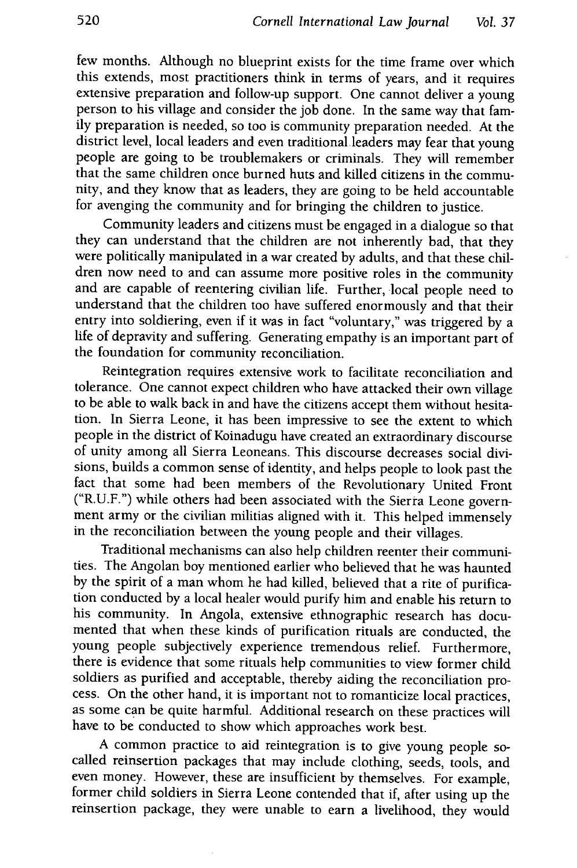few months. Although no blueprint exists for the time frame over which this extends, most practitioners think in terms of years, and it requires extensive preparation and follow-up support. One cannot deliver a young person to his village and consider the job done. In the same way that family preparation is needed, so too is community preparation needed. At the district level, local leaders and even traditional. leaders may fear that young people are going to be troublemakers or criminals. They will remember that the same children once burned huts and killed citizens in the community, and they know that as leaders, they are going to be held accountable for avenging the community and for bringing the children to justice.

Community leaders and citizens must be engaged in a dialogue so that they can understand that the children are not inherently bad, that they were politically manipulated in a war created by adults, and that these children now need to and can assume more positive roles in the community and are capable of reentering civilian life. Further, local people need to understand that the children too have suffered enormously and that their entry into soldiering, even if it was in fact "voluntary," was triggered by a life of depravity and suffering. Generating empathy is an important part of the foundation for community reconciliation.

Reintegration requires extensive work to facilitate reconciliation and tolerance. One cannot expect children who have attacked their own village to be able to walk back in and have the citizens accept them without hesitation. In Sierra Leone, it has been impressive to see the extent to which people in the district of Koinadugu have created an extraordinary discourse of unity among all Sierra Leoneans. This discourse decreases social divisions, builds a common sense of identity, and helps people to look past the fact that some had been members of the Revolutionary United Front ("R.U.F.") while others had been associated with the Sierra Leone government army or the civilian militias aligned with it. This helped immensely in the reconciliation between the young people and their villages.

Traditional mechanisms can also help children reenter their communities. The Angolan boy mentioned earlier who believed that he was haunted by the spirit of a man whom he had killed, believed that a rite of purification conducted by a local healer would purify him and enable his return to his community. In Angola, extensive ethnographic research has documented that when these kinds of purification rituals are conducted, the young people subjectively experience tremendous relief. Furthermore, there is evidence that some rituals help communities to view former child soldiers as purified and acceptable, thereby aiding the reconciliation process. On the other hand, it is important not to romanticize local practices, as some can be quite harmful. Additional research on these practices will have to be conducted to show which approaches work best.

A common practice to aid reintegration is to give young people socalled reinsertion packages that may include clothing, seeds, tools, and even money. However, these are insufficient by themselves. For example, former child soldiers in Sierra Leone contended that if, after using up the reinsertion package, they were unable to earn a livelihood, they would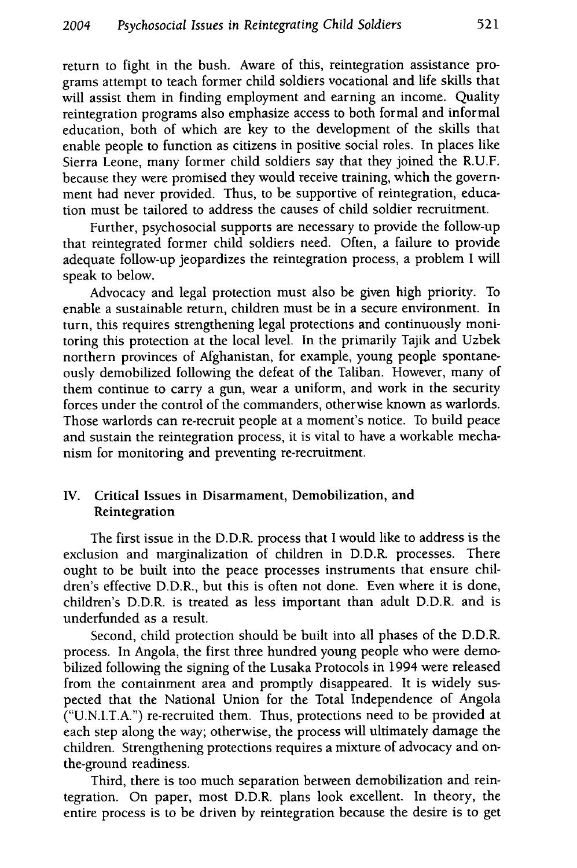return to fight in the bush. Aware of this, reintegration assistance programs attempt to teach former child soldiers vocational and life skills that will assist them in finding employment and earning an income. Quality reintegration programs also emphasize access to both formal and informal education, both of which are key to the development of the skills that enable people to function as citizens in positive social roles. In places like Sierra Leone, many former child soldiers say that they joined the R.U.F. because they were promised they would receive training, which the government had never provided. Thus, to be supportive of reintegration, education must be tailored to address the causes of child soldier recruitment.

Further, psychosocial supports are necessary to provide the follow-up that reintegrated former child soldiers need. Often, a failure to provide adequate follow-up jeopardizes the reintegration process, a problem I will speak to below.

Advocacy and legal protection must also be given high priority. To enable a sustainable return, children must be in a secure environment. In turn, this requires strengthening legal protections and continuously monitoring this protection at the local level. In the primarily Tajik and Uzbek northern provinces of Afghanistan, for example, young people spontaneously demobilized following the defeat of the Taliban. However, many of them continue to carry a gun, wear a uniform, and work in the security forces under the control of the commanders, otherwise known as warlords. Those warlords can re-recruit people at a moment's notice. To build peace and sustain the reintegration process, it is vital to have a workable mechanism for monitoring and preventing re-recruitment.

#### **IV.** Critical Issues in Disarmament, Demobilization, and Reintegration

The first issue in the D.D.R. process that I would like to address is the exclusion and marginalization of children in D.D.R. processes. There ought to be built into the peace processes instruments that ensure children's effective D.D.R., but this is often not done. Even where it is done, children's D.D.R. is treated as less important than adult D.D.R. and is underfunded as a result.

Second, child protection should be built into all phases of the D.D.R. process. In Angola, the first three hundred young people who were demobilized following the signing of the Lusaka Protocols in 1994 were released from the containment area and promptly disappeared. It is widely suspected that the National Union for the Total Independence of Angola ("U.N.I.T.A.") re-recruited them. Thus, protections need to be provided at each step along the way; otherwise, the process will ultimately damage the children. Strengthening protections requires a mixture of advocacy and onthe-ground readiness.

Third, there is too much separation between demobilization and reintegration. On paper, most D.D.R. plans look excellent. In theory, the entire process is to be driven by reintegration because the desire is to get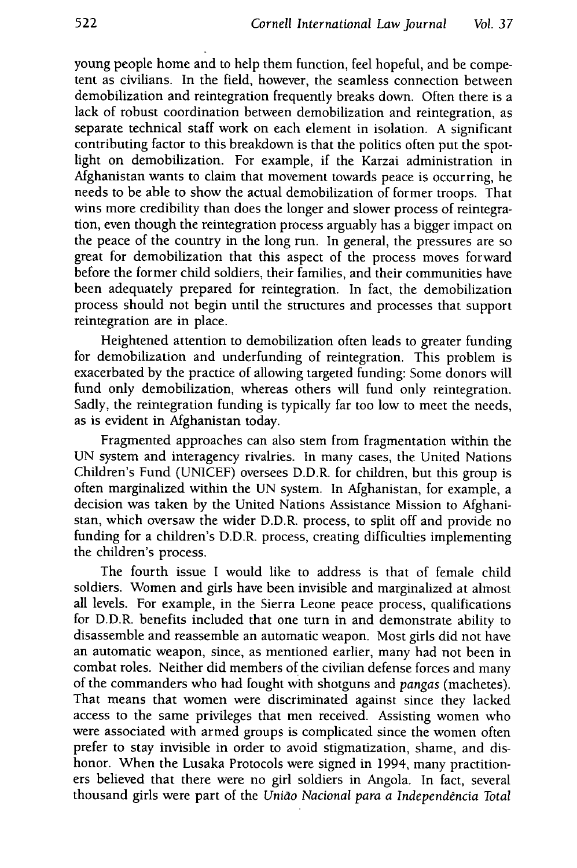young people home and to help them function, feel hopeful, and be competent as civilians. In the field, however, the seamless connection between demobilization and reintegration frequently breaks down. Often there is a lack of robust coordination between demobilization and reintegration, as separate technical staff work on each element in isolation. A significant contributing factor to this breakdown is that the politics often put the spotlight on demobilization. For example, if the Karzai administration in Afghanistan wants to claim that movement towards peace is occurring, he needs to be able to show the actual demobilization of former troops. That wins more credibility than does the longer and slower process of reintegration, even though the reintegration process arguably has a bigger impact on the peace of the country in the long run. In general, the pressures are so great for demobilization that this aspect of the process moves forward before the former child soldiers, their families, and their communities have been adequately prepared for reintegration. In fact, the demobilization process should not begin until the structures and processes that support reintegration are in place.

Heightened attention to demobilization often leads to greater funding for demobilization and underfunding of reintegration. This problem is exacerbated by the practice of allowing targeted funding: Some donors will fund only demobilization, whereas others will fund only reintegration. Sadly, the reintegration funding is typically far too low to meet the needs, as is evident in Afghanistan today.

Fragmented approaches can also stem from fragmentation within the UN system and interagency rivalries. In many cases, the United Nations Children's Fund (UNICEF) oversees D.D.R. for children, but this group is often marginalized within the UN system. In Afghanistan, for example, a decision was taken by the United Nations Assistance Mission to Afghanistan, which oversaw the wider D.D.R. process, to split off and provide no funding for a children's D.D.R. process, creating difficulties implementing the children's process.

The fourth issue I would like to address is that of female child soldiers. Women and girls have been invisible and marginalized at almost all levels. For example, in the Sierra Leone peace process, qualifications for D.D.R. benefits included that one turn in and demonstrate ability to disassemble and reassemble an automatic weapon. Most girls did not have an automatic weapon, since, as mentioned earlier, many had not been in combat roles. Neither did members of the civilian defense forces and many of the commanders who had fought with shotguns and *pangas* (machetes). That means that women were discriminated against since they lacked access to the same privileges that men received. Assisting women who were associated with armed groups is complicated since the women often prefer to stay invisible in order to avoid stigmatization, shame, and dishonor. When the Lusaka Protocols were signed in 1994, many practitioners believed that there were no girl soldiers in Angola. In fact, several thousand girls were part of the *Unido Nacional para a Independencia Total*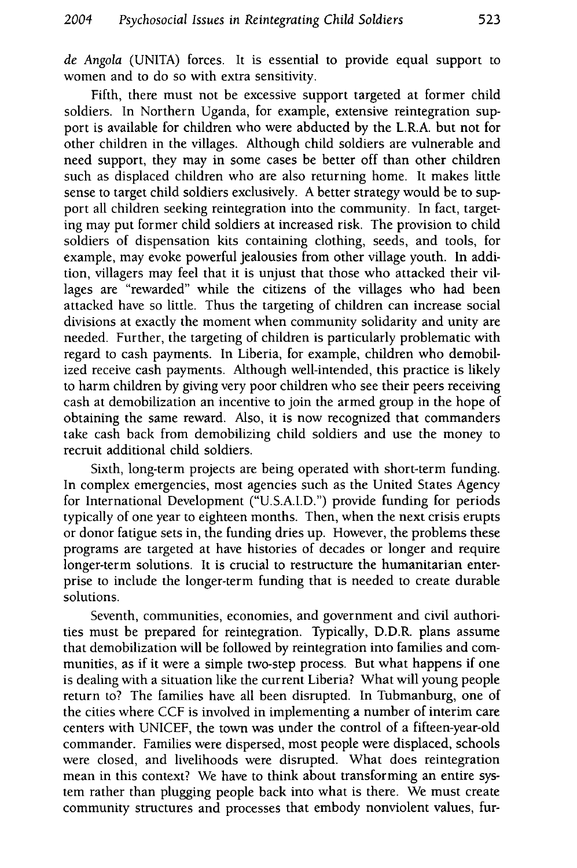*de Angola* (UNITA) forces. It is essential to provide equal support to women and to do so with extra sensitivity.

Fifth, there must not be excessive support targeted at former child soldiers. In Northern Uganda, for example, extensive reintegration support is available for children who were abducted by the L.R.A. but not for other children in the villages. Although child soldiers are vulnerable and need support, they may in some cases be better off than other children such as displaced children who are also returning home. It makes little sense to target child soldiers exclusively. A better strategy would be to support all children seeking reintegration into the community. In fact, targeting may put former child soldiers at increased risk. The provision to child soldiers of dispensation kits containing clothing, seeds, and tools, for example, may evoke powerful jealousies from other village youth. In addition, villagers may feel that it is unjust that those who attacked their villages are "rewarded" while the citizens of the villages who had been attacked have so little. Thus the targeting of children can increase social divisions at exactly the moment when community solidarity and unity are needed. Further, the targeting of children is particularly problematic with regard to cash payments. In Liberia, for example, children who demobilized receive cash payments. Although well-intended, this practice is likely to harm children by giving very poor children who see their peers receiving cash at demobilization an incentive to join the armed group in the hope of obtaining the same reward. Also, it is now recognized that commanders take cash back from demobilizing child soldiers and use the money to recruit additional child soldiers.

Sixth, long-term projects are being operated with short-term funding. In complex emergencies, most agencies such as the United States Agency for International Development ("U.S.A.I.D.") provide funding for periods typically of one year to eighteen months. Then, when the next crisis erupts or donor fatigue sets in, the funding dries up. However, the problems these programs are targeted at have histories of decades or longer and require longer-term solutions. It is crucial to restructure the humanitarian enterprise to include the longer-term funding that is needed to create durable solutions.

Seventh, communities, economies, and government and civil authorities must be prepared for reintegration. Typically, D.D.R. plans assume that demobilization will be followed by reintegration into families and communities, as if it were a simple two-step process. But what happens if one is dealing with a situation like the current Liberia? What will young people return to? The families have all been disrupted. In Tubmanburg, one of the cities where CCF is involved in implementing a number of interim care centers with UNICEF, the town was under the control of a fifteen-year-old commander. Families were dispersed, most people were displaced, schools were closed, and livelihoods were disrupted. What does reintegration mean in this context? We have to think about transforming an entire system rather than plugging people back into what is there. We must create community structures and processes that embody nonviolent values, fur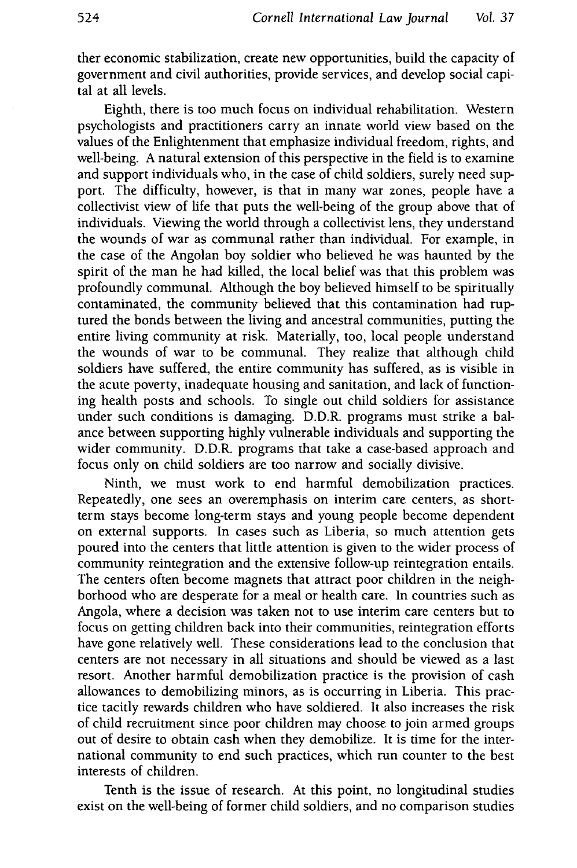ther economic stabilization, create new opportunities, build the capacity of government and civil authorities, provide services, and develop social capital at all levels.

Eighth, there is too much focus on individual rehabilitation. Western psychologists and practitioners carry an innate world view based on the values of the Enlightenment that emphasize individual freedom, rights, and well-being. A natural extension of this perspective in the field is to examine and support individuals who, in the case of child soldiers, surely need support. The difficulty, however, is that in many war zones, people have a collectivist view of life that puts the well-being of the group above that of individuals. Viewing the world through a collectivist lens, they understand the wounds of war as communal rather than individual. For example, in the case of the Angolan boy soldier who believed he was haunted by the spirit of the man he had killed, the local belief was that this problem was profoundly communal. Although the boy believed himself to be spiritually contaminated, the community believed that this contamination had ruptured the bonds between the living and ancestral communities, putting the entire living community at risk. Materially, too, local people understand the wounds of war to be communal. They realize that although child soldiers have suffered, the entire community has suffered, as is visible in the acute poverty, inadequate housing and sanitation, and lack of functioning health posts and schools. To single out child soldiers for assistance under such conditions is damaging. D.D.R. programs must strike a balance between supporting highly vulnerable individuals and supporting the wider community. D.D.R. programs that take a case-based approach and focus only on child soldiers are too narrow and socially divisive.

Ninth, we must work to end harmful demobilization practices. Repeatedly, one sees an overemphasis on interim care centers, as shortterm stays become long-term stays and young people become dependent on external supports. In cases such as Liberia, so much attention gets poured into the centers that little attention is given to the wider process of community reintegration and the extensive follow-up reintegration entails. The centers often become magnets that attract poor children in the neighborhood who are desperate for a meal or health care. In countries such as Angola, where a decision was taken not to use interim care centers but to focus on getting children back into their communities, reintegration efforts have gone relatively well. These considerations lead to the conclusion that centers are not necessary in all situations and should be viewed as a last resort. Another harmful demobilization practice is the provision of cash allowances to demobilizing minors, as is occurring in Liberia. This practice tacitly rewards children who have soldiered. It also increases the risk of child recruitment since poor children may choose to join armed groups out of desire to obtain cash when they demobilize. It is time for the international community to end such practices, which run counter to the best interests of children.

Tenth is the issue of research. At this point, no longitudinal studies exist on the well-being of former child soldiers, and no comparison studies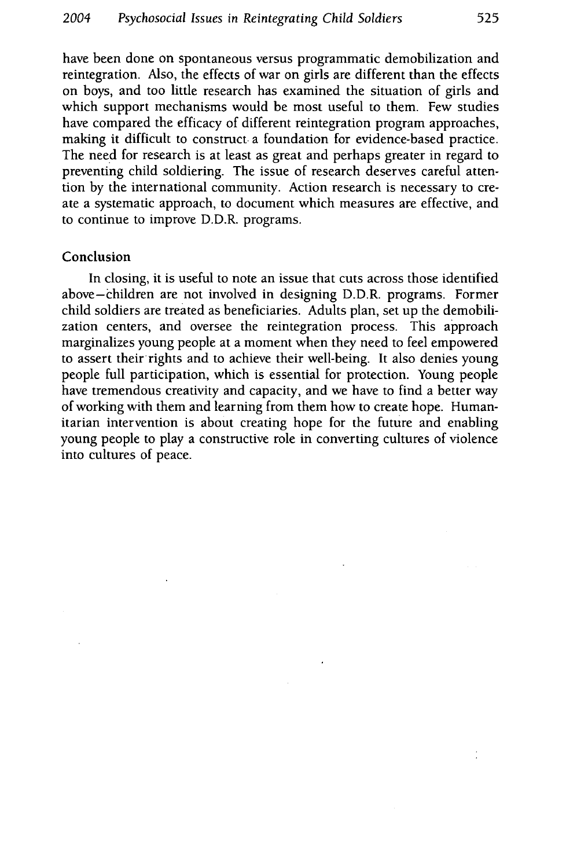have been done on spontaneous versus programmatic demobilization and reintegration. Also, the effects of war on girls are different than the effects on boys, and too little research has examined the situation of girls and which support mechanisms would be most useful to them. Few studies have compared the efficacy of different reintegration program approaches, making it difficult to construct. a foundation for evidence-based practice. The need for research is at least as great and perhaps greater in regard to preventing child soldiering. The issue of research deserves careful attention **by** the international community. Action research is necessary to create a systematic approach, to document which measures are effective, and to continue to improve D.D.R. programs.

#### Conclusion

In closing, it is useful to note an issue that cuts across those identified above-children are not involved in designing D.D.R. programs. Former child soldiers are treated as beneficiaries. Adults plan, set up the demobilization centers, and oversee the reintegration process. This approach marginalizes young people at a moment when they need to feel empowered to assert their rights and to achieve their well-being. It also denies young people full participation, which is essential for protection. Young people have tremendous creativity and capacity, and we have to find a better way of working with them and learning from them how to create hope. Humanitarian intervention is about creating hope for the future and enabling young people to play a constructive role in converting cultures of violence into cultures of peace.